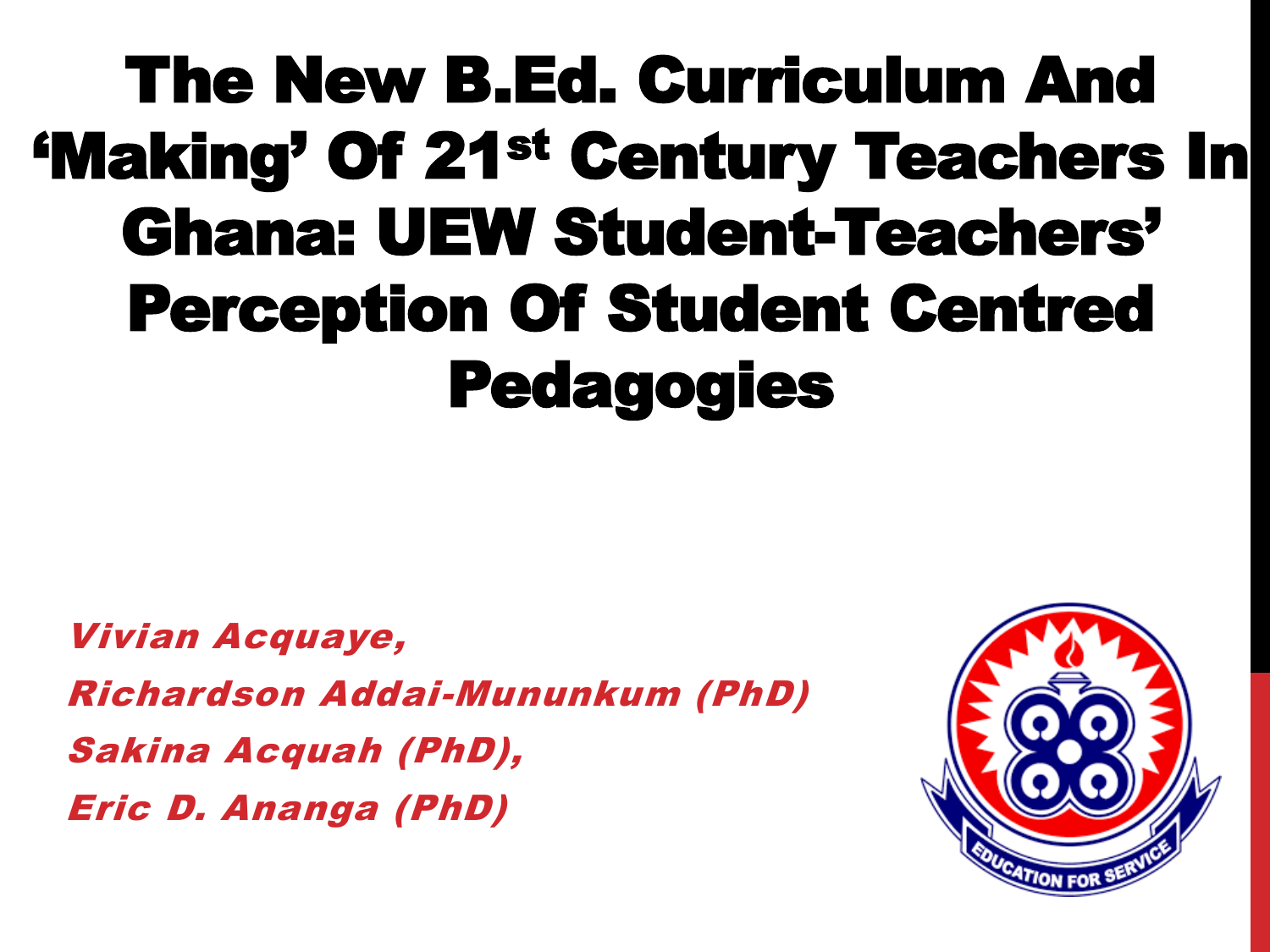## The New B.Ed. Curriculum And 'Making' Of 21st Century Teachers In Ghana: UEW Student-Teachers' Perception Of Student Centred Pedagogies

Vivian Acquaye, Richardson Addai-Mununkum (PhD) Sakina Acquah (PhD), Eric D. Ananga (PhD)

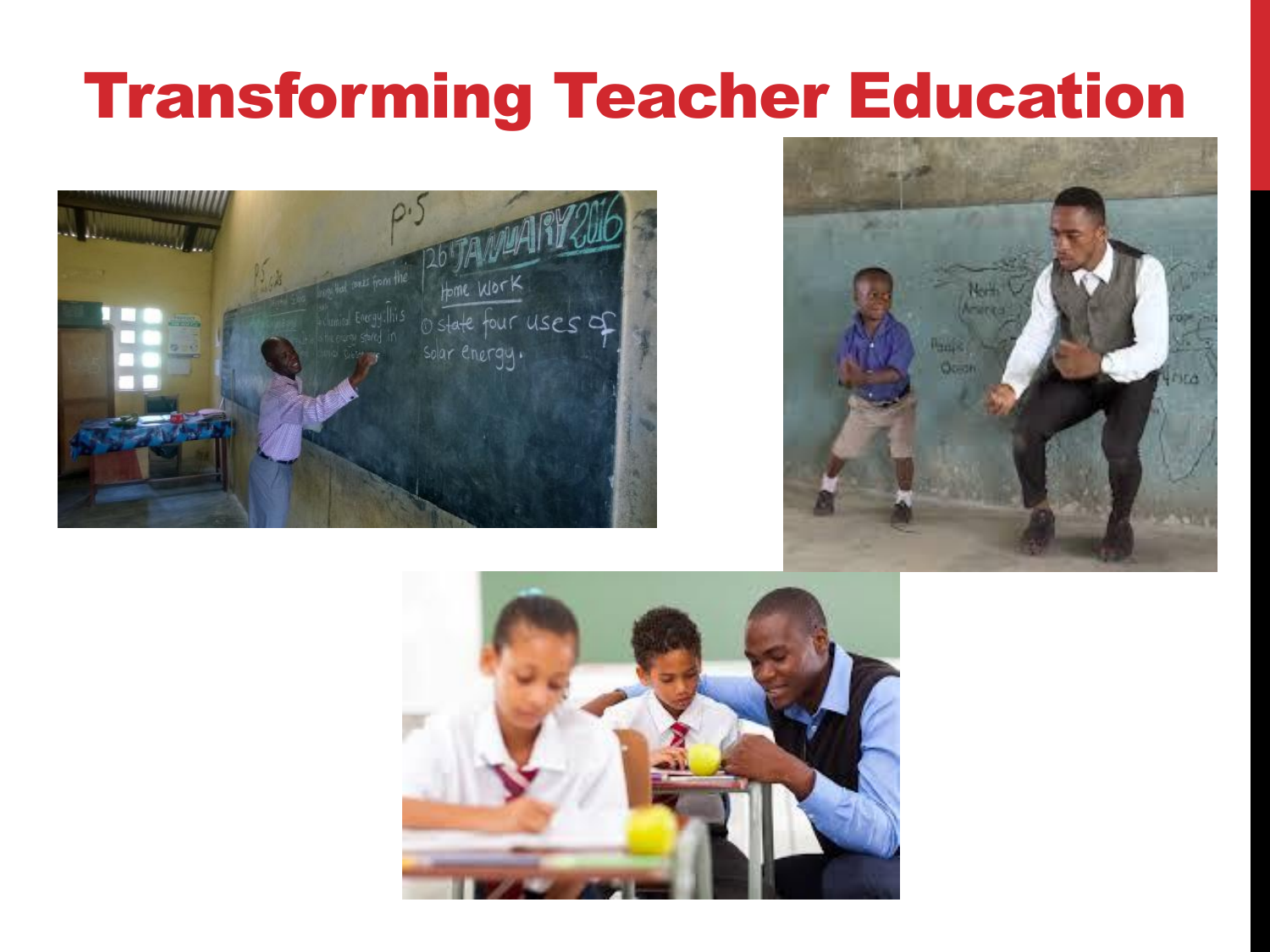### Transforming Teacher Education





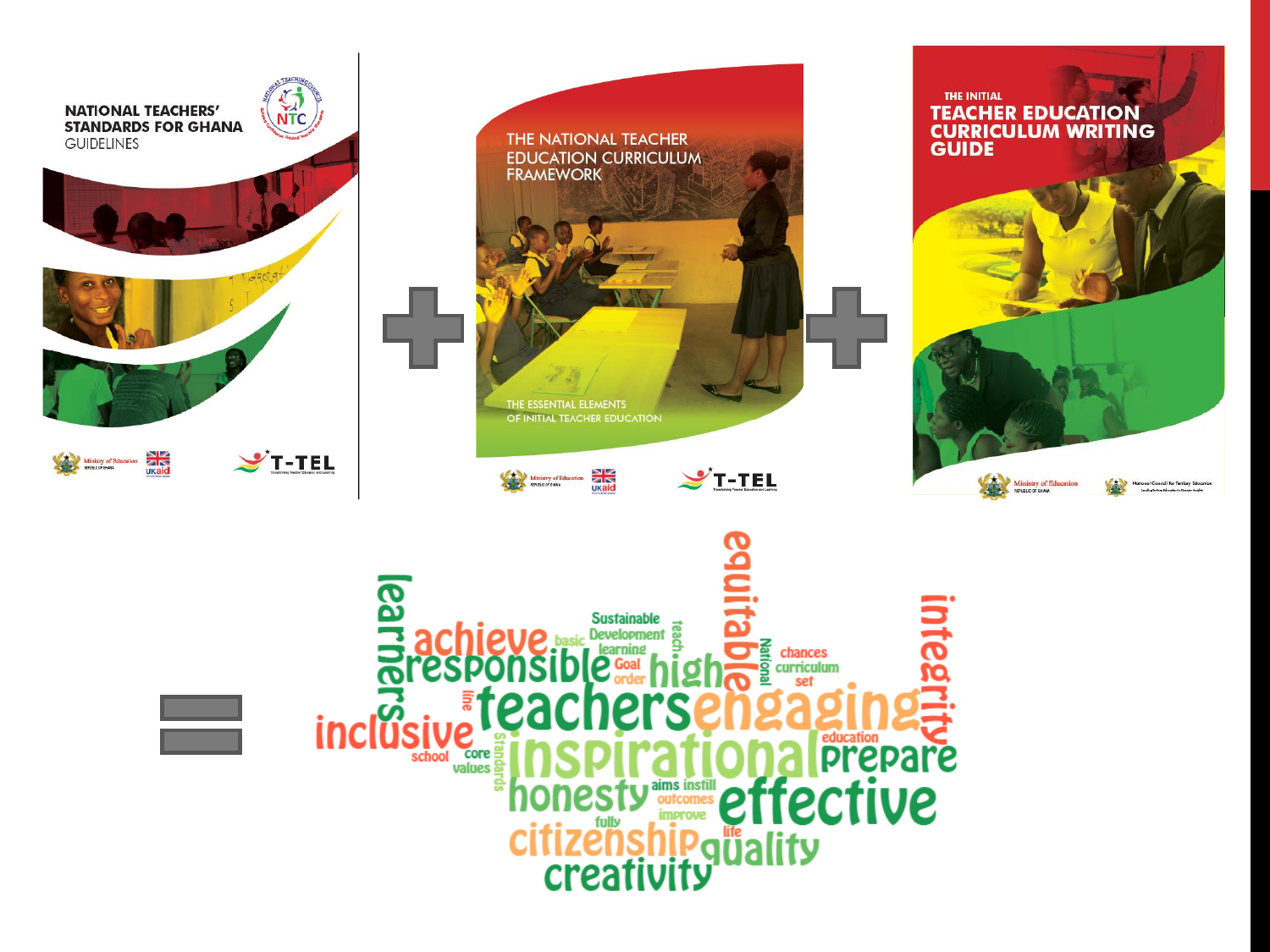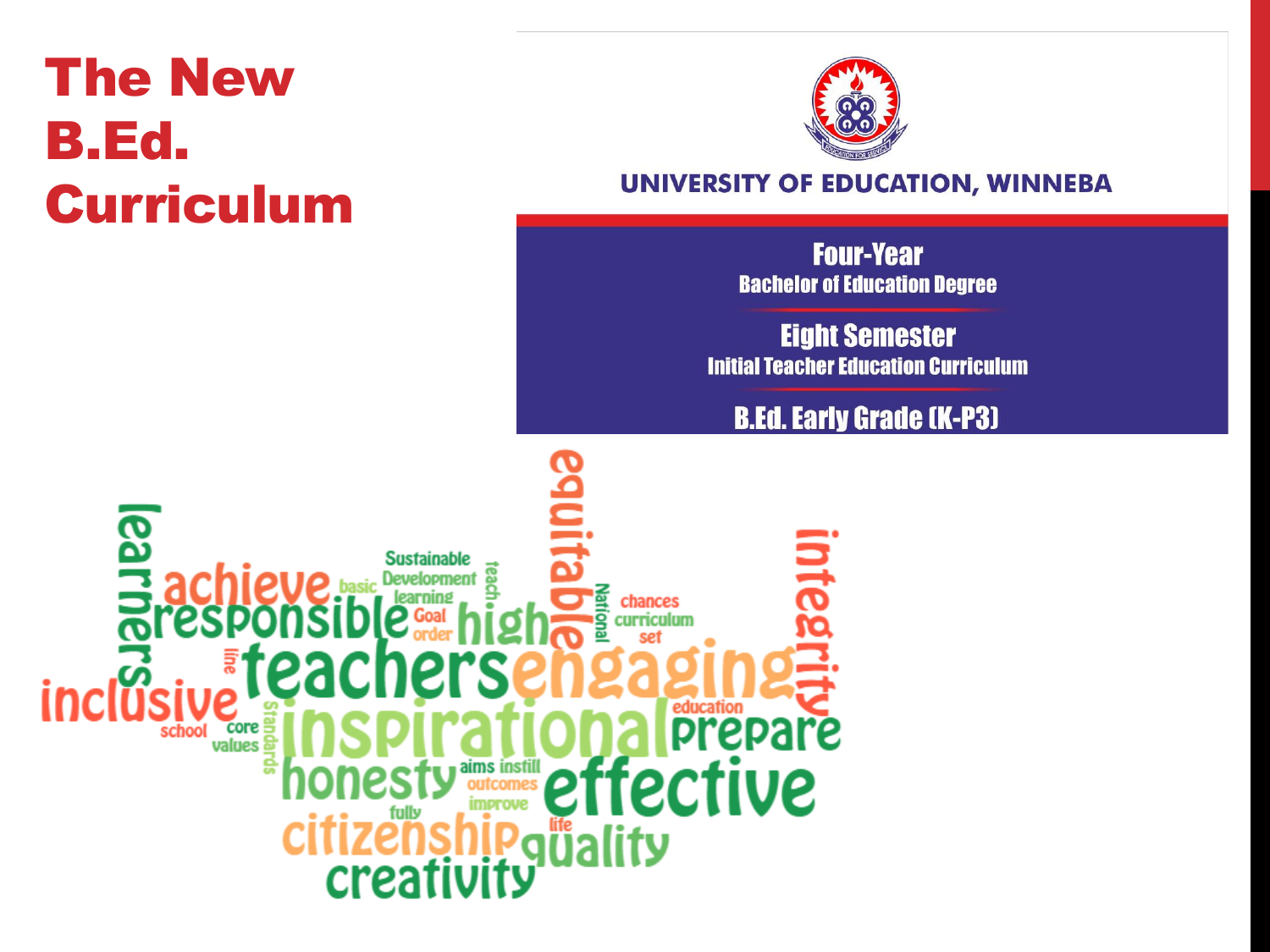#### **The New B.Ed. Curriculum**



#### UNIVERSITY OF EDUCATION, WINNEBA

**Four-Year Bachelor of Education Degree** 

**Eight Semester Initial Teacher Education Curriculum** 

#### **B.Ed. Early Grade (K-P3)**

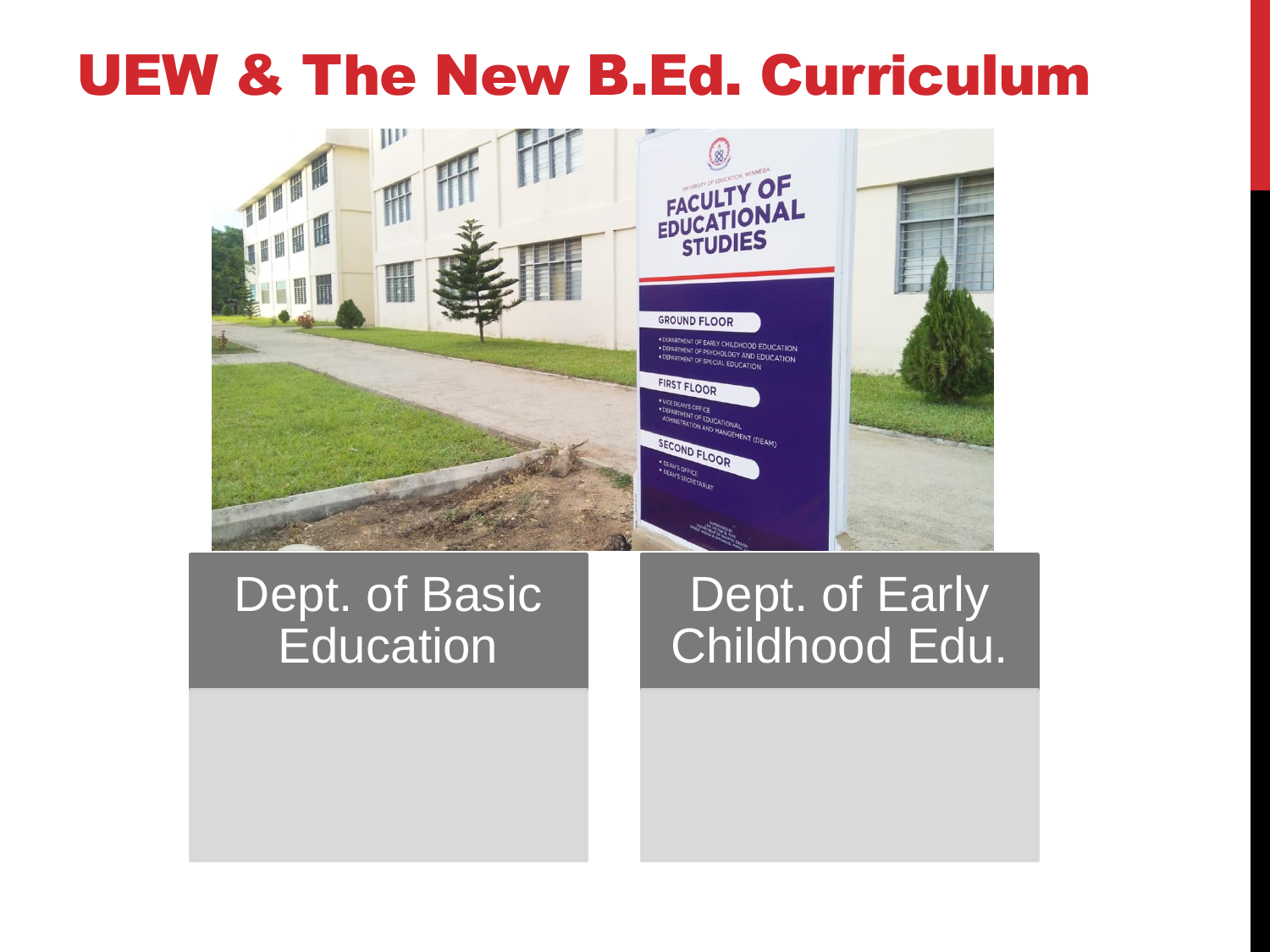#### UEW & The New B.Ed. Curriculum



#### Dept. of Basic **Education**

#### Dept. of Early Childhood Edu.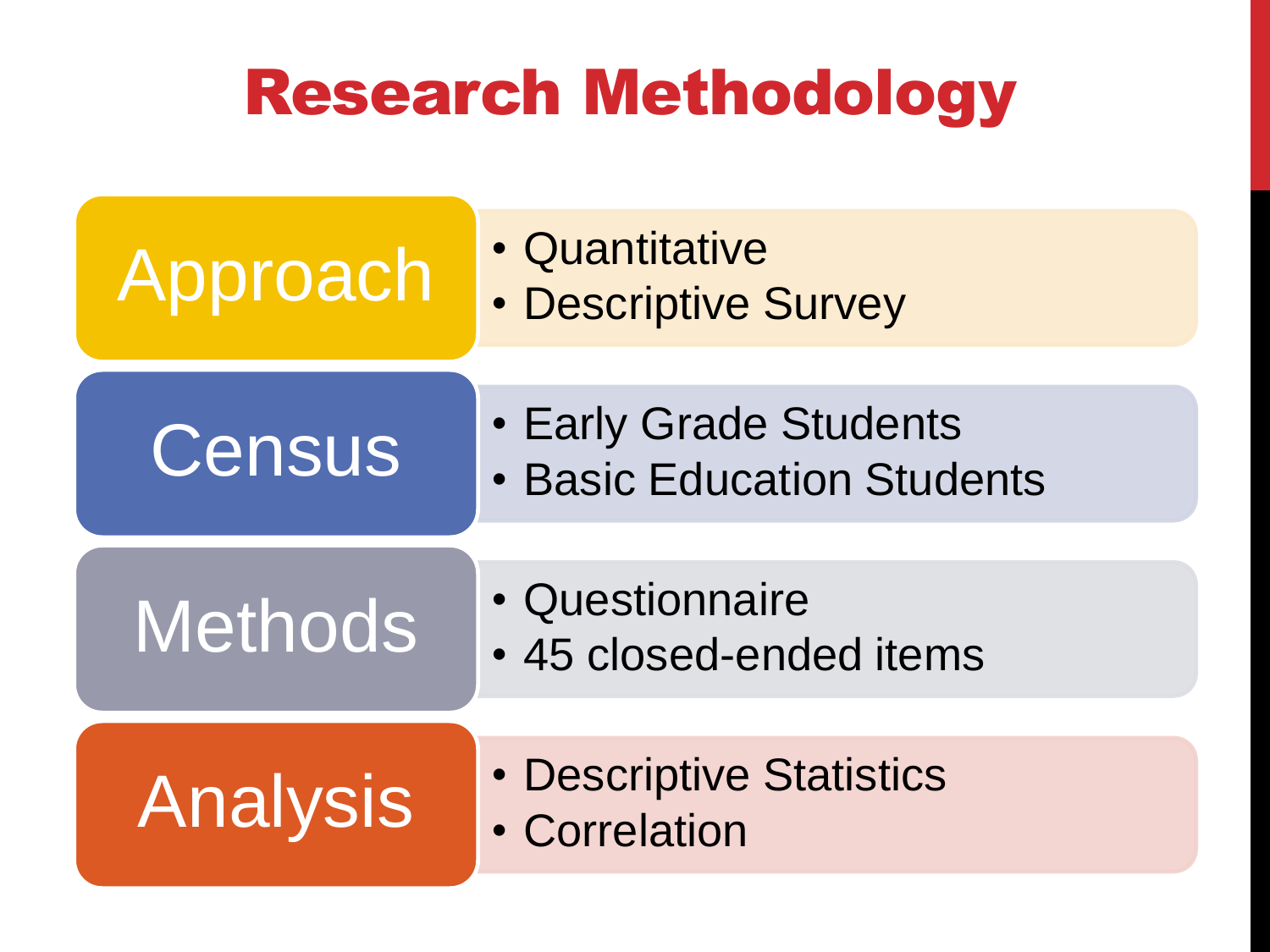### Research Methodology

| Approach        | • Quantitative<br>• Descriptive Survey                      |
|-----------------|-------------------------------------------------------------|
| Census          | • Early Grade Students<br><b>• Basic Education Students</b> |
| <b>Methods</b>  | • Questionnaire<br>• 45 closed-ended items                  |
| <b>Analysis</b> | • Descriptive Statistics<br>• Correlation                   |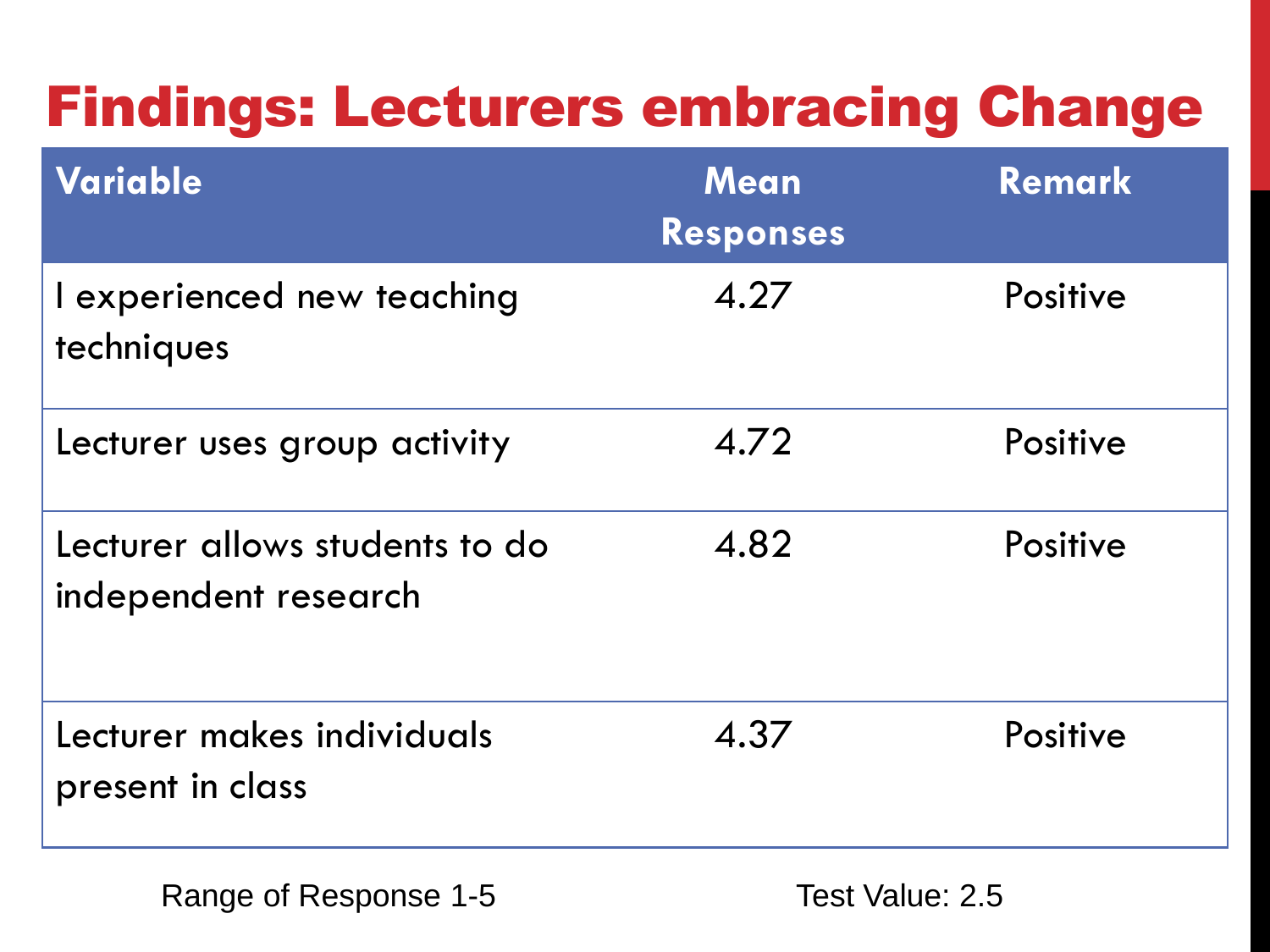#### Findings: Lecturers embracing Change

| Variable                                               | <b>Mean</b><br><b>Responses</b> | <b>Remark</b>   |
|--------------------------------------------------------|---------------------------------|-----------------|
| I experienced new teaching<br>techniques               | 4.27                            | Positive        |
| Lecturer uses group activity                           | 4.72                            | <b>Positive</b> |
| Lecturer allows students to do<br>independent research | 4.82                            | Positive        |
| Lecturer makes individuals<br>present in class         | 4.37                            | Positive        |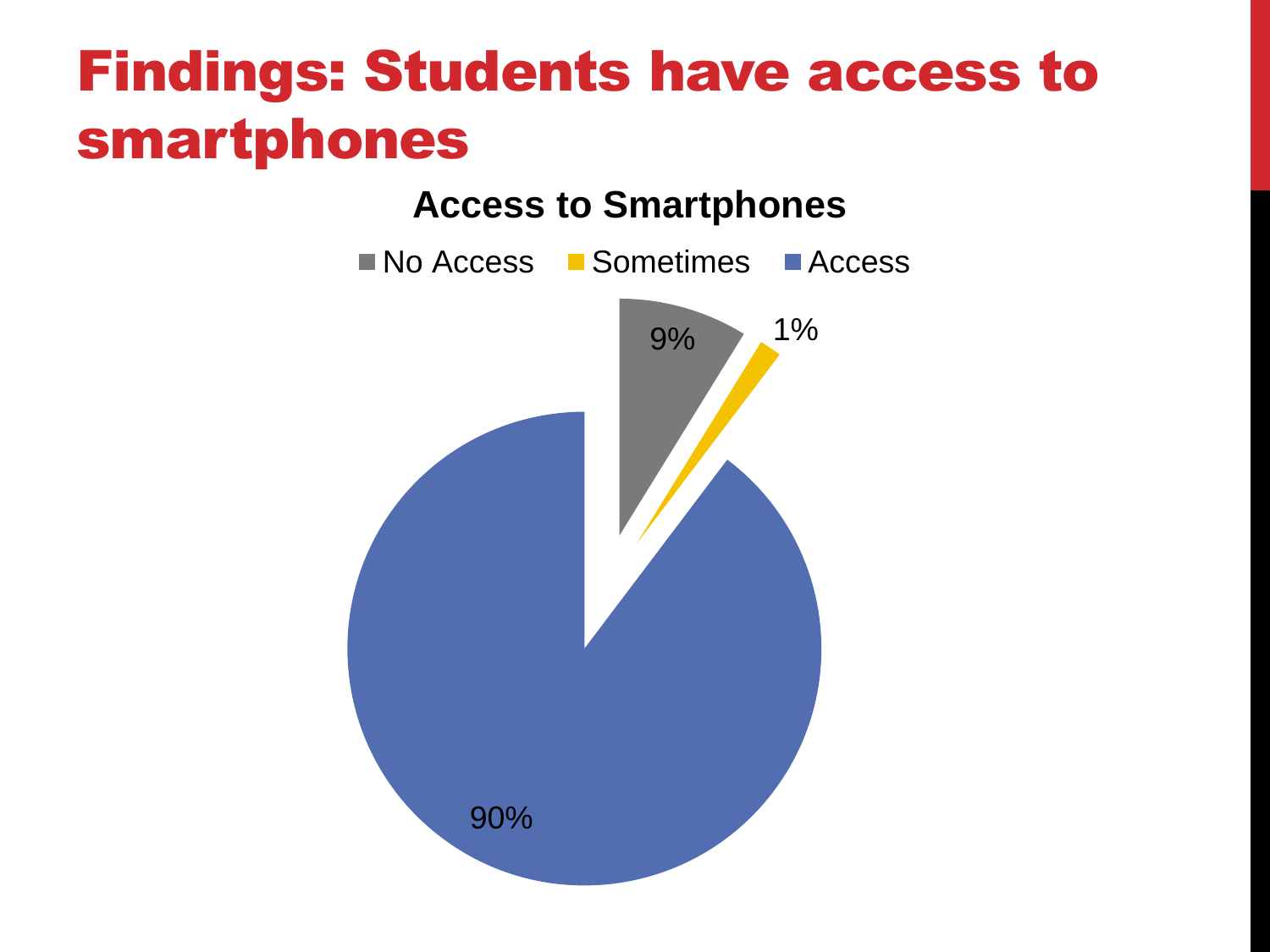#### Findings: Students have access to smartphones

![](_page_7_Figure_1.jpeg)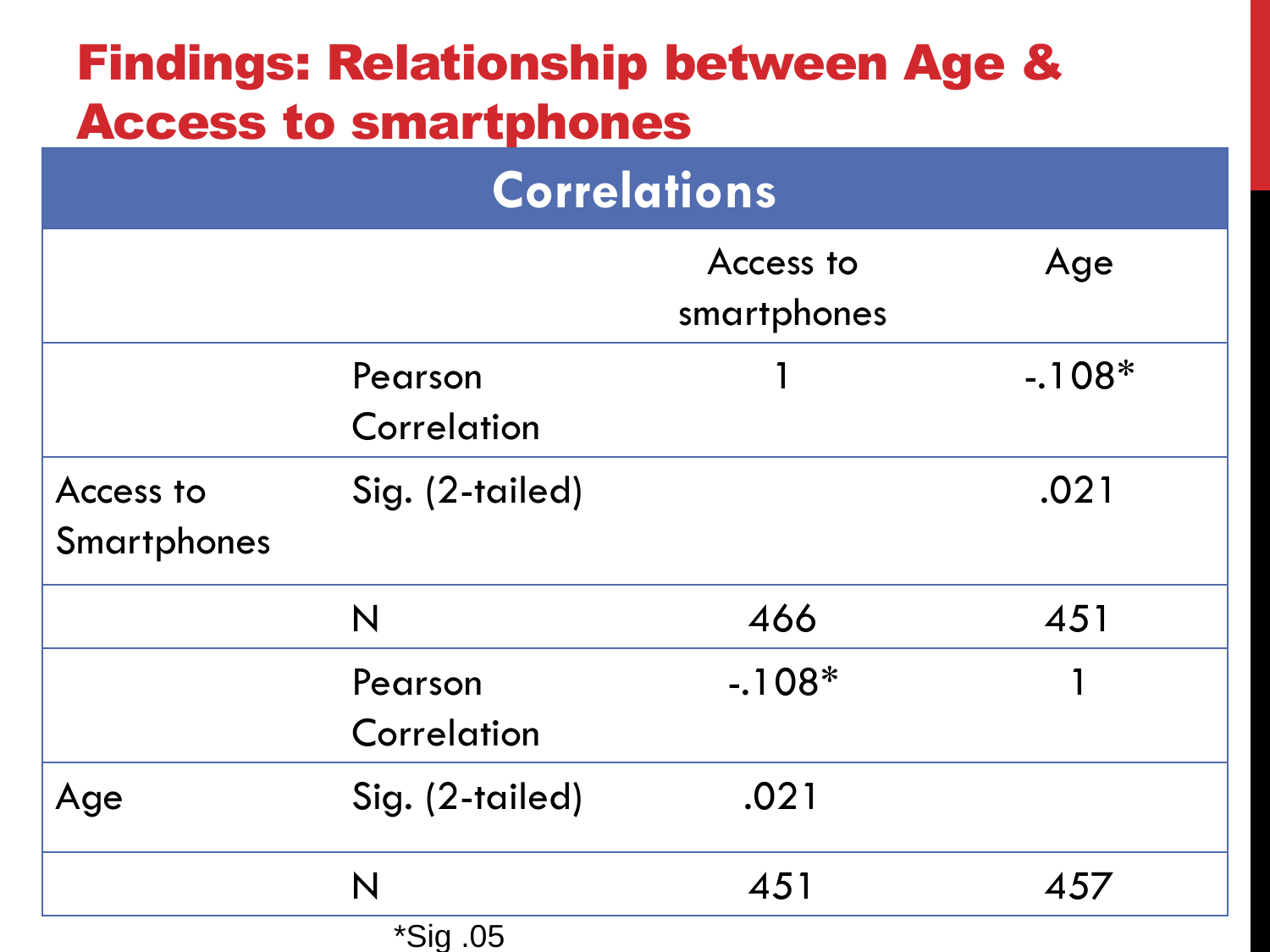| <b>Findings: Relationship between Age &amp;</b><br><b>Access to smartphones</b> |                        |                          |          |  |  |
|---------------------------------------------------------------------------------|------------------------|--------------------------|----------|--|--|
| <b>Correlations</b>                                                             |                        |                          |          |  |  |
|                                                                                 |                        | Access to<br>smartphones | Age      |  |  |
|                                                                                 | Pearson<br>Correlation |                          | $-.108*$ |  |  |
| Access to<br><b>Smartphones</b>                                                 | Sig. (2-tailed)        |                          | .021     |  |  |
|                                                                                 | N                      | 466                      | 451      |  |  |
|                                                                                 | Pearson<br>Correlation | $-.108*$                 | 1        |  |  |
| Age                                                                             | Sig. (2-tailed)        | .021                     |          |  |  |
|                                                                                 | N                      | 451                      | 457      |  |  |
|                                                                                 | *Sig.05                |                          |          |  |  |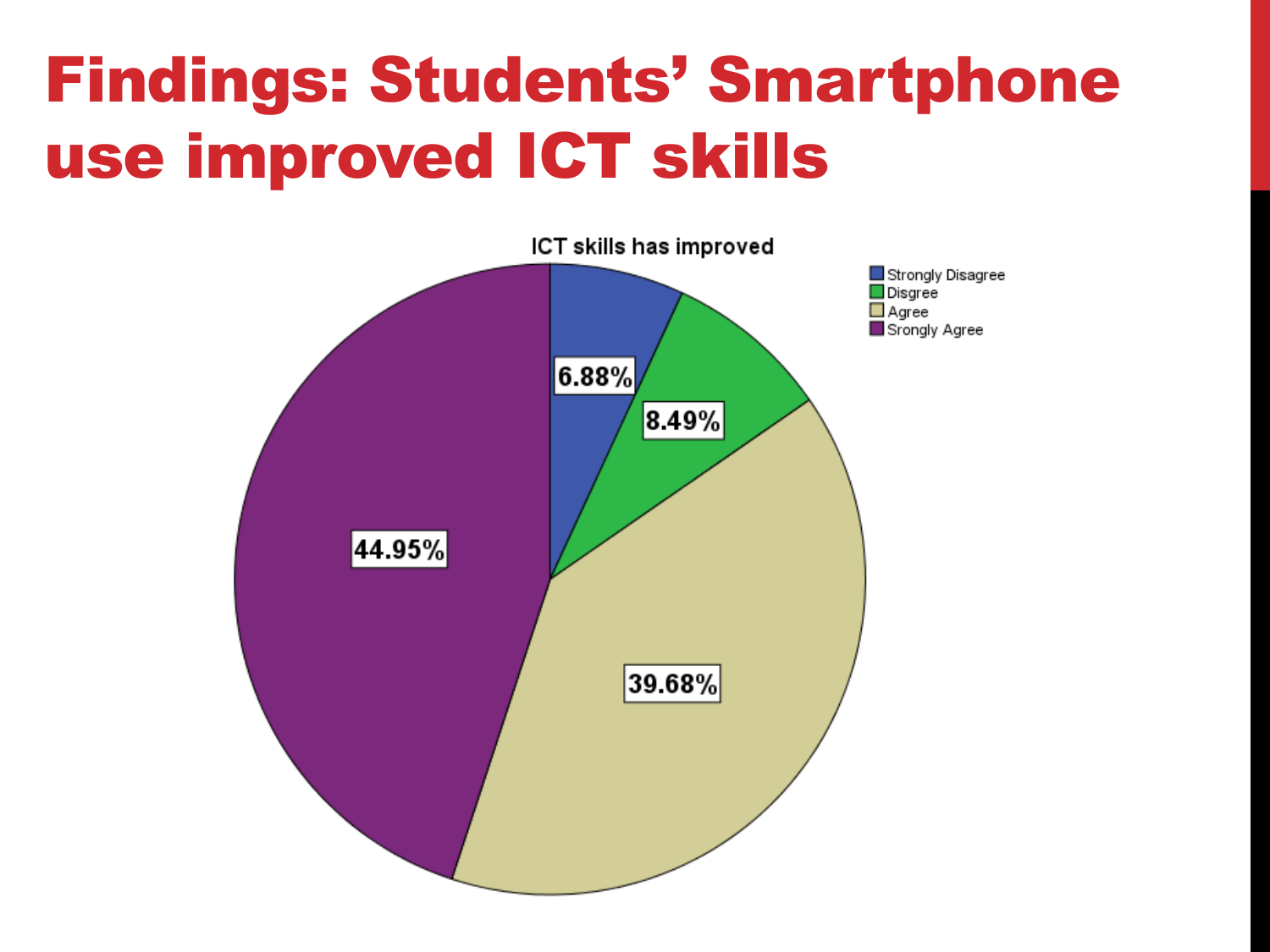### Findings: Students' Smartphone use improved ICT skills

![](_page_9_Figure_1.jpeg)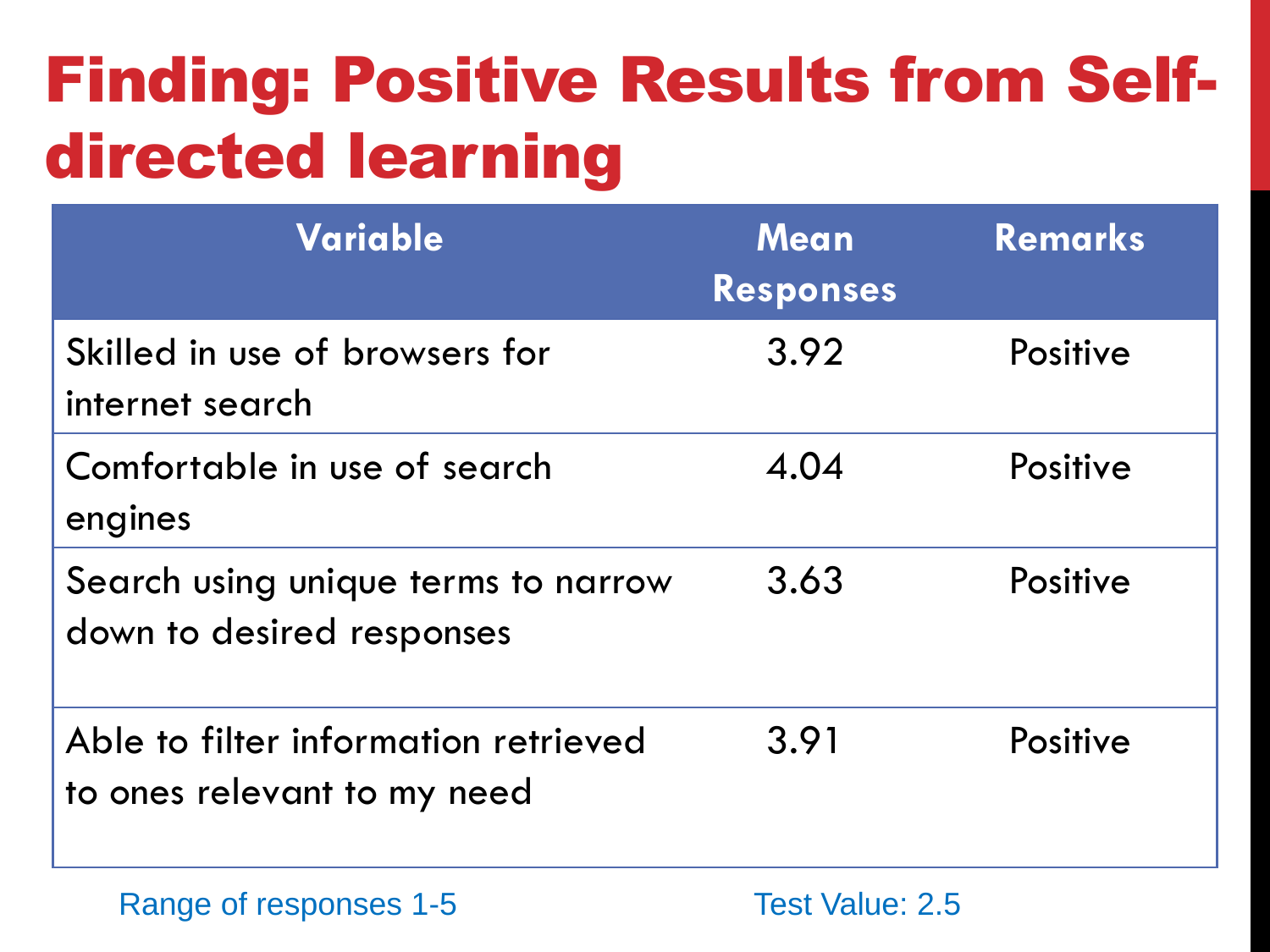## Finding: Positive Results from Selfdirected learning

| <b>Variable</b>                                                     | Mean<br><b>Responses</b> | Remarks  |
|---------------------------------------------------------------------|--------------------------|----------|
| Skilled in use of browsers for<br>internet search                   | 3.92                     | Positive |
| Comfortable in use of search<br>engines                             | 4.04                     | Positive |
| Search using unique terms to narrow<br>down to desired responses    | 3.63                     | Positive |
| Able to filter information retrieved<br>to ones relevant to my need | 3.91                     | Positive |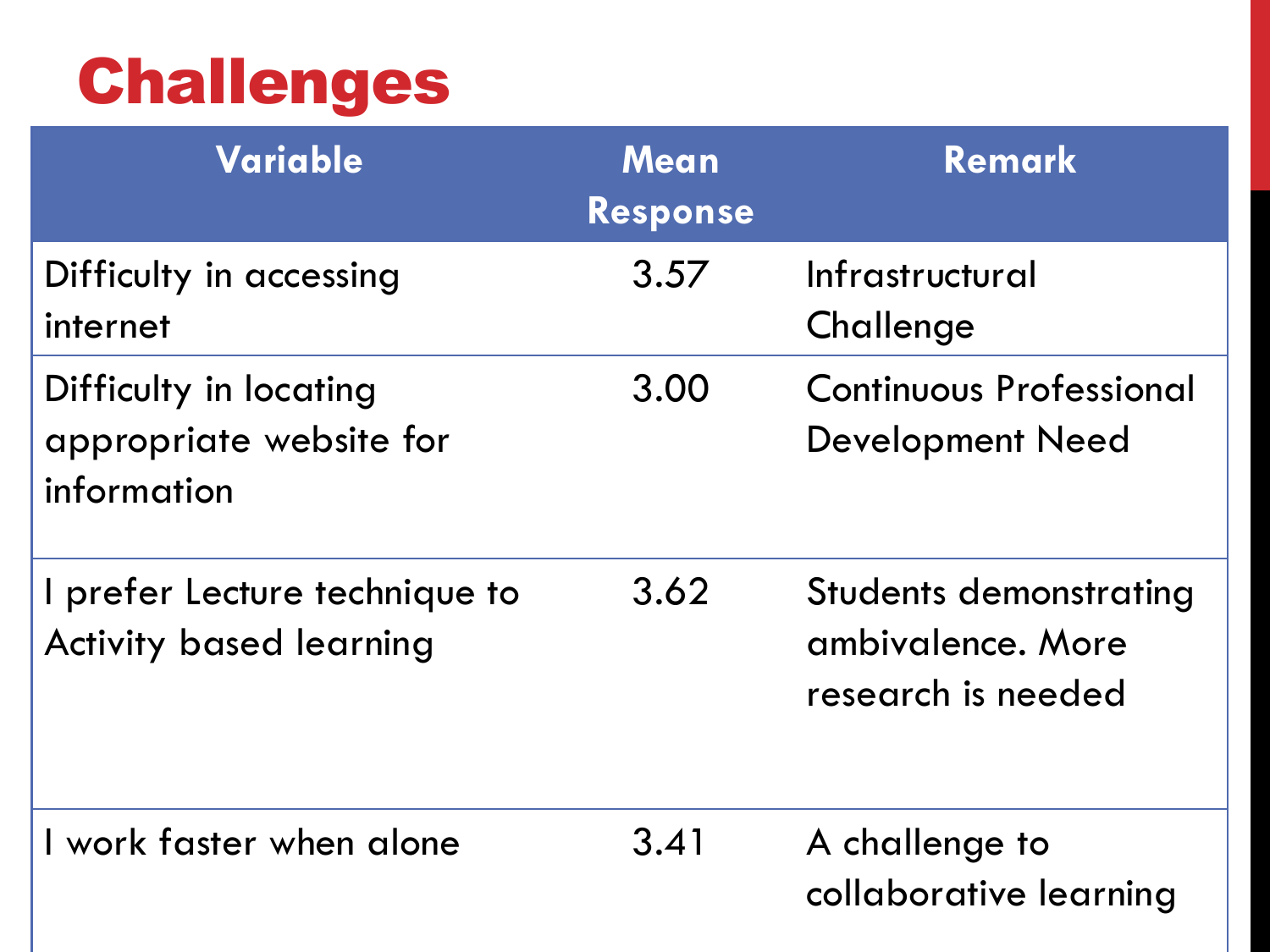### Challenges

| Variable                                                         | Mean<br>Response | <b>Remark</b>                                                            |
|------------------------------------------------------------------|------------------|--------------------------------------------------------------------------|
| Difficulty in accessing<br>internet                              | 3.57             | Infrastructural<br>Challenge                                             |
| Difficulty in locating<br>appropriate website for<br>information | 3.00             | <b>Continuous Professional</b><br><b>Development Need</b>                |
| I prefer Lecture technique to<br><b>Activity based learning</b>  | 3.62             | <b>Students demonstrating</b><br>ambivalence. More<br>research is needed |
| I work faster when alone                                         | 3.41             | A challenge to<br>collaborative learning                                 |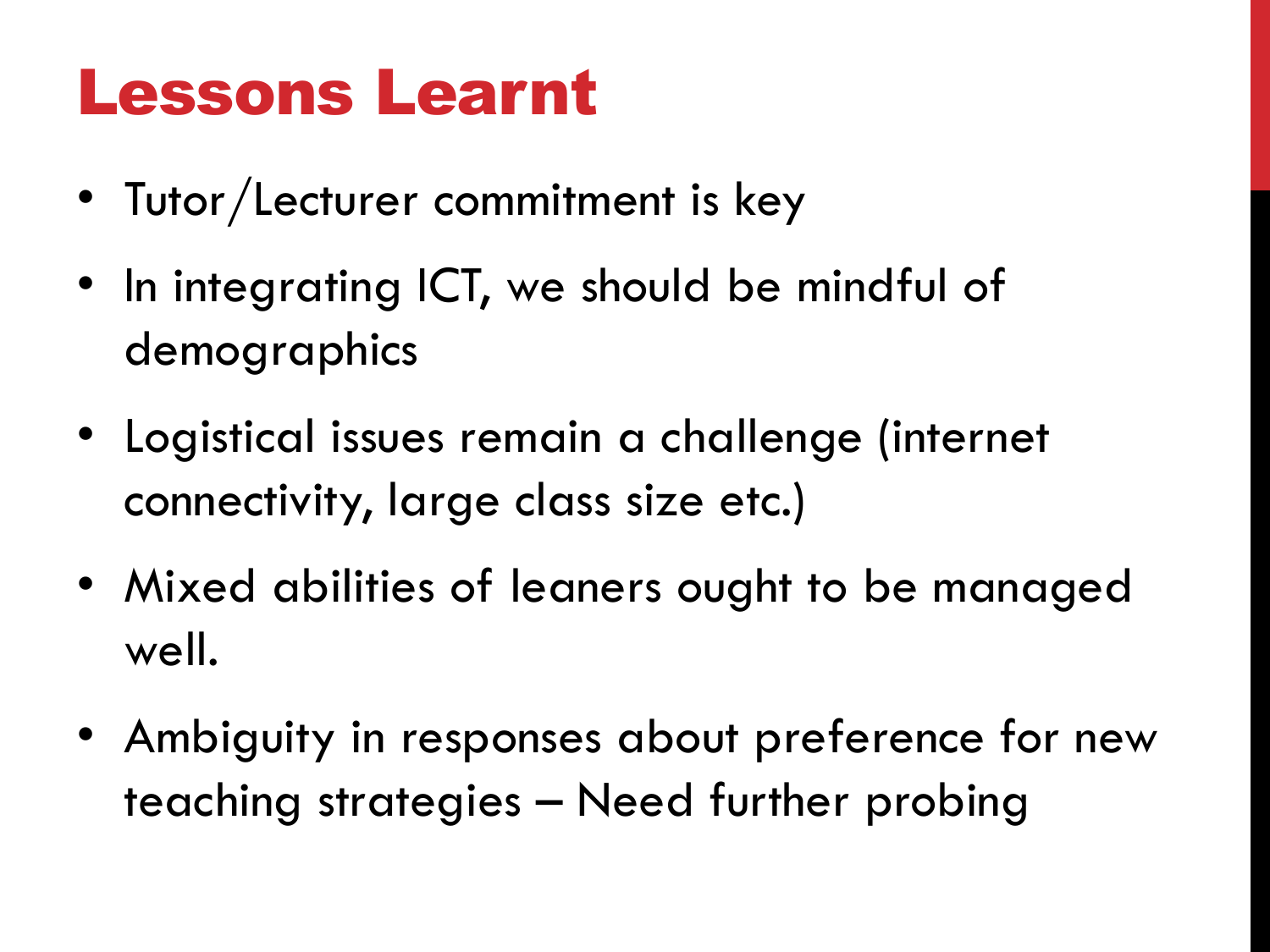#### Lessons Learnt

- Tutor/Lecturer commitment is key
- In integrating ICT, we should be mindful of demographics
- Logistical issues remain a challenge (internet connectivity, large class size etc.)
- Mixed abilities of leaners ought to be managed well.
- Ambiguity in responses about preference for new teaching strategies – Need further probing